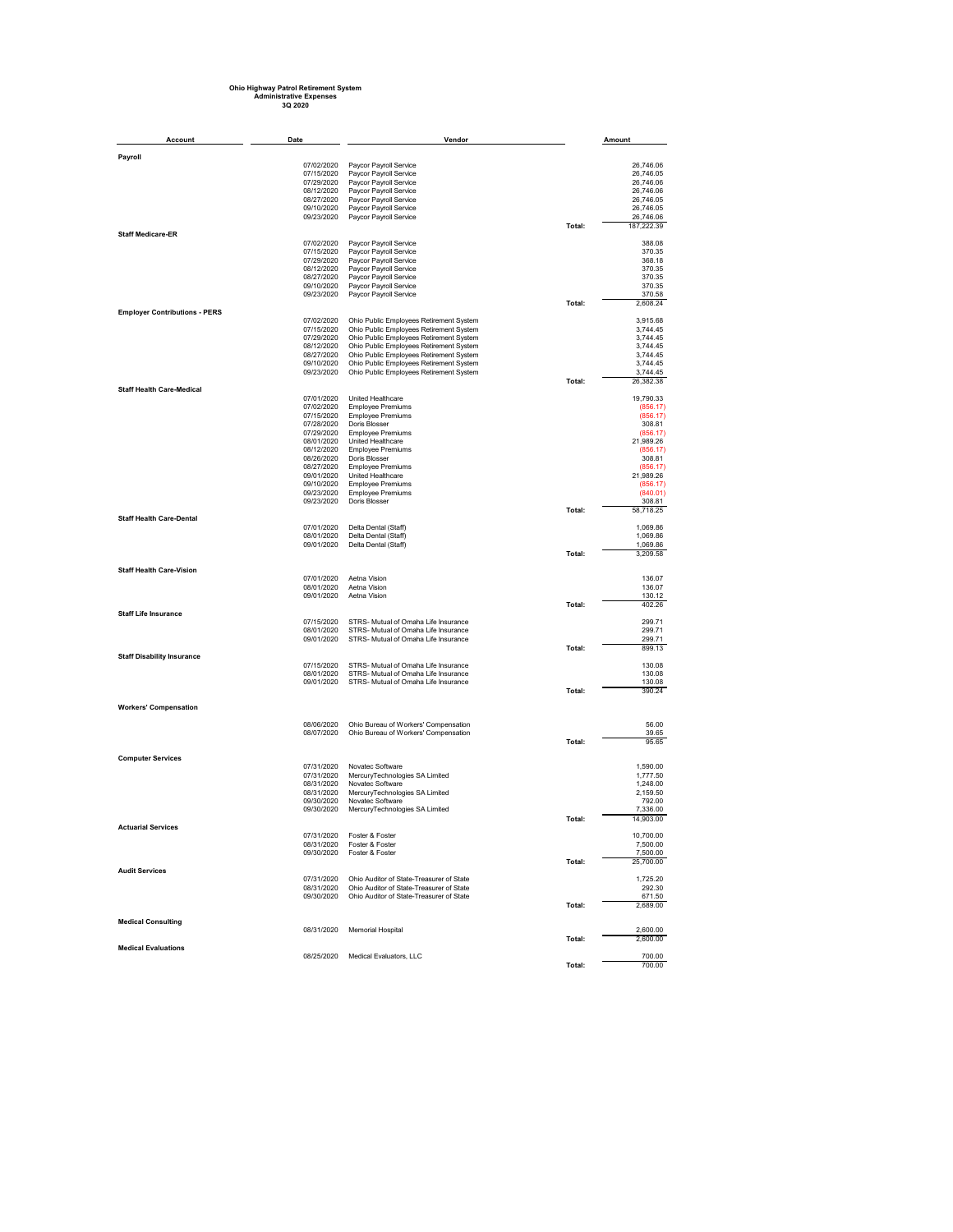## **Ohio Highway Patrol Retirement System Administrative Expenses 3Q 2020**

| <b>Account</b>                       | Date                     | Vendor                                                                               |        | Amount                 |
|--------------------------------------|--------------------------|--------------------------------------------------------------------------------------|--------|------------------------|
| Payroll                              |                          |                                                                                      |        |                        |
|                                      | 07/02/2020               | Paycor Payroll Service                                                               |        | 26,746.06              |
|                                      | 07/15/2020               | Paycor Payroll Service                                                               |        | 26,746.05              |
|                                      | 07/29/2020               | Paycor Payroll Service                                                               |        | 26,746.06              |
|                                      | 08/12/2020               | Paycor Payroll Service                                                               |        | 26,746.06              |
|                                      | 08/27/2020               | Paycor Payroll Service                                                               |        | 26,746.05              |
|                                      | 09/10/2020<br>09/23/2020 | Paycor Payroll Service<br>Paycor Payroll Service                                     |        | 26,746.05<br>26,746.06 |
|                                      |                          |                                                                                      | Total: | 187,222.39             |
| <b>Staff Medicare-ER</b>             |                          |                                                                                      |        |                        |
|                                      | 07/02/2020               | Paycor Payroll Service                                                               |        | 388.08                 |
|                                      | 07/15/2020<br>07/29/2020 | Paycor Payroll Service<br>Paycor Payroll Service                                     |        | 370.35<br>368.18       |
|                                      | 08/12/2020               | Paycor Payroll Service                                                               |        | 370.35                 |
|                                      | 08/27/2020               | Paycor Payroll Service                                                               |        | 370.35                 |
|                                      | 09/10/2020               | Paycor Payroll Service                                                               |        | 370.35                 |
|                                      | 09/23/2020               | Paycor Payroll Service                                                               | Total: | 370.58<br>2,608.24     |
| <b>Employer Contributions - PERS</b> |                          |                                                                                      |        |                        |
|                                      | 07/02/2020               | Ohio Public Employees Retirement System                                              |        | 3,915.68               |
|                                      | 07/15/2020               | Ohio Public Employees Retirement System                                              |        | 3,744.45               |
|                                      | 07/29/2020<br>08/12/2020 | Ohio Public Employees Retirement System<br>Ohio Public Employees Retirement System   |        | 3,744.45<br>3,744.45   |
|                                      | 08/27/2020               | Ohio Public Employees Retirement System                                              |        | 3,744.45               |
|                                      | 09/10/2020               | Ohio Public Employees Retirement System                                              |        | 3,744.45               |
|                                      | 09/23/2020               | Ohio Public Employees Retirement System                                              |        | 3,744.45               |
| <b>Staff Health Care-Medical</b>     |                          |                                                                                      | Total: | 26,382.38              |
|                                      | 07/01/2020               | United Healthcare                                                                    |        | 19,790.33              |
|                                      | 07/02/2020               | <b>Employee Premiums</b>                                                             |        | (856.17)               |
|                                      | 07/15/2020               | <b>Employee Premiums</b>                                                             |        | (856.17)               |
|                                      | 07/28/2020<br>07/29/2020 | Doris Blosser<br><b>Employee Premiums</b>                                            |        | 308.81<br>(856.17)     |
|                                      | 08/01/2020               | United Healthcare                                                                    |        | 21,989.26              |
|                                      | 08/12/2020               | <b>Employee Premiums</b>                                                             |        | (856.17)               |
|                                      | 08/26/2020               | Doris Blosser                                                                        |        | 308.81                 |
|                                      | 08/27/2020<br>09/01/2020 | <b>Employee Premiums</b><br>United Healthcare                                        |        | (856.17)<br>21,989.26  |
|                                      | 09/10/2020               | <b>Employee Premiums</b>                                                             |        | (856.17)               |
|                                      | 09/23/2020               | <b>Employee Premiums</b>                                                             |        | (840.01)               |
|                                      | 09/23/2020               | Doris Blosser                                                                        | Total: | 308.81                 |
| <b>Staff Health Care-Dental</b>      |                          |                                                                                      |        | 58,718.25              |
|                                      | 07/01/2020               | Delta Dental (Staff)                                                                 |        | 1,069.86               |
|                                      | 08/01/2020               | Delta Dental (Staff)                                                                 |        | 1,069.86               |
|                                      | 09/01/2020               | Delta Dental (Staff)                                                                 | Total: | 1,069.86<br>3,209.58   |
|                                      |                          |                                                                                      |        |                        |
| <b>Staff Health Care-Vision</b>      |                          |                                                                                      |        |                        |
|                                      | 07/01/2020<br>08/01/2020 | Aetna Vision<br>Aetna Vision                                                         |        | 136.07<br>136.07       |
|                                      | 09/01/2020               | Aetna Vision                                                                         |        | 130.12                 |
|                                      |                          |                                                                                      | Total: | 402.26                 |
| <b>Staff Life Insurance</b>          |                          |                                                                                      |        |                        |
|                                      | 07/15/2020<br>08/01/2020 | STRS- Mutual of Omaha Life Insurance<br>STRS- Mutual of Omaha Life Insurance         |        | 299.71<br>299.71       |
|                                      | 09/01/2020               | STRS- Mutual of Omaha Life Insurance                                                 |        | 299.71                 |
|                                      |                          |                                                                                      | Total: | 899.13                 |
| <b>Staff Disability Insurance</b>    |                          |                                                                                      |        |                        |
|                                      | 07/15/2020<br>08/01/2020 | STRS- Mutual of Omaha Life Insurance<br>STRS- Mutual of Omaha Life Insurance         |        | 130.08<br>130.08       |
|                                      | 09/01/2020               | STRS- Mutual of Omaha Life Insurance                                                 |        | 130.08                 |
|                                      |                          |                                                                                      | Total: | 390.24                 |
| <b>Workers' Compensation</b>         |                          |                                                                                      |        |                        |
|                                      |                          |                                                                                      |        |                        |
|                                      | 08/06/2020<br>08/07/2020 | Ohio Bureau of Workers' Compensation<br>Ohio Bureau of Workers' Compensation         |        | 56.00<br>39.65         |
|                                      |                          |                                                                                      | Total: | 95.65                  |
|                                      |                          |                                                                                      |        |                        |
| <b>Computer Services</b>             |                          | Novatec Software                                                                     |        |                        |
|                                      | 07/31/2020<br>07/31/2020 | MercuryTechnologies SA Limited                                                       |        | 1,590.00<br>1,777.50   |
|                                      | 08/31/2020               | Novatec Software                                                                     |        | 1,248.00               |
|                                      | 08/31/2020               | MercuryTechnologies SA Limited                                                       |        | 2,159.50               |
|                                      | 09/30/2020               | Novatec Software                                                                     |        | 792.00                 |
|                                      | 09/30/2020               | MercuryTechnologies SA Limited                                                       | Total: | 7,336.00<br>14,903.00  |
| <b>Actuarial Services</b>            |                          |                                                                                      |        |                        |
|                                      | 07/31/2020               | Foster & Foster                                                                      |        | 10,700.00              |
|                                      | 08/31/2020<br>09/30/2020 | Foster & Foster<br>Foster & Foster                                                   |        | 7,500.00<br>7,500.00   |
|                                      |                          |                                                                                      | Total: | 25,700.00              |
| <b>Audit Services</b>                |                          |                                                                                      |        |                        |
|                                      | 07/31/2020<br>08/31/2020 | Ohio Auditor of State-Treasurer of State<br>Ohio Auditor of State-Treasurer of State |        | 1,725.20<br>292.30     |
|                                      | 09/30/2020               | Ohio Auditor of State-Treasurer of State                                             |        | 671.50                 |
|                                      |                          |                                                                                      | Total: | 2,689.00               |
|                                      |                          |                                                                                      |        |                        |
| <b>Medical Consulting</b>            | 08/31/2020               | Memorial Hospital                                                                    |        | 2,600.00               |
|                                      |                          |                                                                                      | Total: | 2,600.00               |
| <b>Medical Evaluations</b>           |                          |                                                                                      |        | 700.00                 |
|                                      | 08/25/2020               | Medical Evaluators, LLC                                                              | Total: | 700.00                 |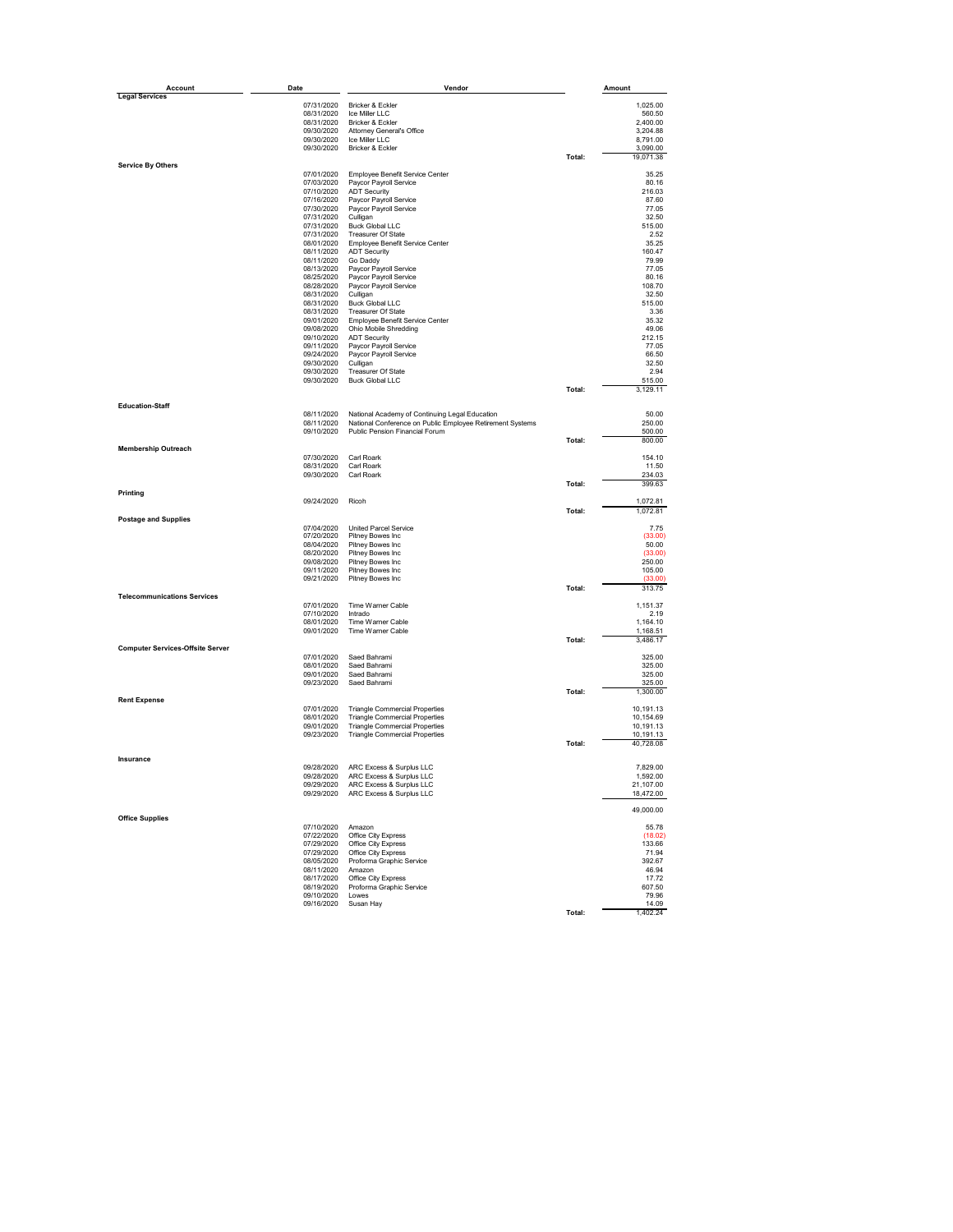| Account                                 | Date                     | Vendor                                                    |        | Amount               |
|-----------------------------------------|--------------------------|-----------------------------------------------------------|--------|----------------------|
| <b>Legal Services</b>                   |                          |                                                           |        |                      |
|                                         | 07/31/2020               | Bricker & Eckler                                          |        | 1,025.00             |
|                                         | 08/31/2020               | Ice Miller I I C                                          |        | 560.50               |
|                                         | 08/31/2020               | Bricker & Eckler                                          |        | 2,400.00             |
|                                         | 09/30/2020<br>09/30/2020 | Attorney General's Office<br>Ice Miller LLC               |        | 3,204.88<br>8,791.00 |
|                                         | 09/30/2020               | Bricker & Eckler                                          |        | 3,090.00             |
|                                         |                          |                                                           | Total: | 19,071.38            |
| <b>Service By Others</b>                |                          |                                                           |        |                      |
|                                         | 07/01/2020               | Employee Benefit Service Center                           |        | 35.25                |
|                                         | 07/03/2020               | Paycor Payroll Service                                    |        | 80.16                |
|                                         | 07/10/2020               | <b>ADT Security</b>                                       |        | 216.03               |
|                                         | 07/16/2020               | Paycor Payroll Service                                    |        | 87.60                |
|                                         | 07/30/2020               | Paycor Payroll Service                                    |        | 77.05                |
|                                         | 07/31/2020<br>07/31/2020 | Culligan<br><b>Buck Global LLC</b>                        |        | 32.50                |
|                                         | 07/31/2020               | Treasurer Of State                                        |        | 515.00<br>2.52       |
|                                         |                          |                                                           |        |                      |
|                                         | 08/01/2020               | Employee Benefit Service Center                           |        | 35.25                |
|                                         | 08/11/2020<br>08/11/2020 | <b>ADT Security</b><br>Go Daddy                           |        | 160.47<br>79.99      |
|                                         | 08/13/2020               | Paycor Payroll Service                                    |        | 77.05                |
|                                         | 08/25/2020               | Paycor Payroll Service                                    |        | 80.16                |
|                                         | 08/28/2020               | Paycor Payroll Service                                    |        | 108.70               |
|                                         | 08/31/2020               | Culligan                                                  |        | 32.50                |
|                                         |                          | <b>Buck Global LLC</b>                                    |        | 515.00               |
|                                         | 08/31/2020<br>08/31/2020 | <b>Treasurer Of State</b>                                 |        | 3.36                 |
|                                         |                          |                                                           |        |                      |
|                                         | 09/01/2020               | Employee Benefit Service Center                           |        | 35.32<br>49.06       |
|                                         | 09/08/2020<br>09/10/2020 | Ohio Mobile Shredding<br><b>ADT Security</b>              |        | 212.15               |
|                                         | 09/11/2020               | Paycor Payroll Service                                    |        | 77.05                |
|                                         |                          | Paycor Payroll Service                                    |        | 66.50                |
|                                         | 09/24/2020<br>09/30/2020 | Culligan                                                  |        | 32.50                |
|                                         | 09/30/2020               | Treasurer Of State                                        |        | 2.94                 |
|                                         | 09/30/2020               | <b>Buck Global LLC</b>                                    |        | 515.00               |
|                                         |                          |                                                           | Total: |                      |
|                                         |                          |                                                           |        | 3,129.11             |
| <b>Education-Staff</b>                  |                          |                                                           |        |                      |
|                                         | 08/11/2020               | National Academy of Continuing Legal Education            |        | 50.00                |
|                                         | 08/11/2020               | National Conference on Public Employee Retirement Systems |        | 250.00               |
|                                         | 09/10/2020               | Public Pension Financial Forum                            |        | 500.00               |
|                                         |                          |                                                           | Total: | 800.00               |
| <b>Membership Outreach</b>              |                          |                                                           |        |                      |
|                                         | 07/30/2020               | Carl Roark<br>Carl Roark                                  |        | 154.10               |
|                                         | 08/31/2020<br>09/30/2020 | Carl Roark                                                |        | 11.50<br>234.03      |
|                                         |                          |                                                           |        |                      |
| Printing                                |                          |                                                           | Total: | 399.63               |
|                                         | 09/24/2020               | Ricoh                                                     |        | 1,072.81             |
|                                         |                          |                                                           | Total: | 1,072.81             |
| <b>Postage and Supplies</b>             |                          |                                                           |        |                      |
|                                         | 07/04/2020               | United Parcel Service                                     |        | 7.75                 |
|                                         | 07/20/2020               | Pitney Bowes Inc                                          |        | (33.00)              |
|                                         | 08/04/2020               | Pitney Bowes Inc                                          |        | 50.00                |
|                                         | 08/20/2020               | Pitney Bowes Inc                                          |        | (33.00)              |
|                                         | 09/08/2020               | Pitney Bowes Inc                                          |        | 250.00               |
|                                         | 09/11/2020               | Pitney Bowes Inc                                          |        | 105.00               |
|                                         | 09/21/2020               | Pitney Bowes Inc                                          |        | (33.00)              |
|                                         |                          |                                                           | Total: | 313.75               |
| <b>Telecommunications Services</b>      |                          | Time Warner Cable                                         |        |                      |
|                                         | 07/01/2020               | Intrado                                                   |        | 1,151.37             |
|                                         | 07/10/2020<br>08/01/2020 | Time Warner Cable                                         |        | 2.19<br>1,164.10     |
|                                         | 09/01/2020               | Time Warner Cable                                         |        |                      |
|                                         |                          |                                                           | Total: | 1,168.51<br>3,486.17 |
| <b>Computer Services-Offsite Server</b> |                          |                                                           |        |                      |
|                                         | 07/01/2020               | Saed Bahrami                                              |        | 325.00               |
|                                         | 08/01/2020               | Saed Bahrami                                              |        | 325.00               |
|                                         | 09/01/2020               | Saed Bahrami                                              |        | 325.00               |
|                                         | 09/23/2020               | Saed Bahrami                                              |        | 325.00               |
|                                         |                          |                                                           | Total: | 1,300.00             |
| <b>Rent Expense</b>                     |                          |                                                           |        |                      |
|                                         | 07/01/2020               | <b>Triangle Commercial Properties</b>                     |        | 10,191.13            |
|                                         | 08/01/2020               | <b>Triangle Commercial Properties</b>                     |        | 10,154.69            |
|                                         | 09/01/2020               | <b>Triangle Commercial Properties</b>                     |        | 10,191.13            |
|                                         | 09/23/2020               | <b>Triangle Commercial Properties</b>                     |        | 10,191.13            |
|                                         |                          |                                                           | Total: | 40,728.08            |
| Insurance                               |                          |                                                           |        |                      |
|                                         | 09/28/2020               | ARC Excess & Surplus LLC                                  |        | 7,829.00             |
|                                         |                          | 09/28/2020 ARC Excess & Surplus LLC                       |        | 1,592.00             |
|                                         |                          | 09/29/2020 ARC Excess & Surplus LLC                       |        | 21,107.00            |
|                                         |                          | 09/29/2020 ARC Excess & Surplus LLC                       |        | 18,472.00            |
|                                         |                          |                                                           |        |                      |
|                                         |                          |                                                           |        | 49,000.00            |
| <b>Office Supplies</b>                  |                          |                                                           |        |                      |
|                                         | 07/10/2020               | Amazon                                                    |        | 55.78                |
|                                         | 07/22/2020               | Office City Express                                       |        | (18.02)              |
|                                         |                          | 07/29/2020 Office City Express                            |        | 133.66               |
|                                         |                          | 07/29/2020 Office City Express                            |        | 71.94                |
|                                         |                          | 08/05/2020 Proforma Graphic Service                       |        | 392.67               |
|                                         | 08/11/2020 Amazon        |                                                           |        | 46.94                |
|                                         | 08/17/2020               | Office City Express                                       |        | 17.72                |
|                                         | 08/19/2020               | Proforma Graphic Service                                  |        | 607.50               |
|                                         | 09/10/2020               | Lowes                                                     |        | 79.96                |
|                                         | 09/16/2020               | Susan Hay                                                 |        | 14.09                |
|                                         |                          |                                                           | Total: | 1,402.24             |